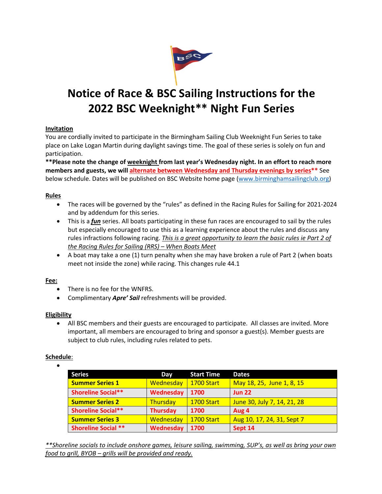

# **Notice of Race & BSC Sailing Instructions for the 2022 BSC Weeknight\*\* Night Fun Series**

# **Invitation**

You are cordially invited to participate in the Birmingham Sailing Club Weeknight Fun Series to take place on Lake Logan Martin during daylight savings time. The goal of these series is solely on fun and participation.

**\*\*Please note the change of weeknight from last year's Wednesday night. In an effort to reach more members and guests, we will alternate between Wednesday and Thursday evenings by series\*\*** See below schedule. Dates will be published on BSC Website home page (www.birminghamsailingclub.org)

# **Rules**

- The races will be governed by the "rules" as defined in the Racing Rules for Sailing for 2021-2024 and by addendum for this series.
- This is a *fun* series. All boats participating in these fun races are encouraged to sail by the rules but especially encouraged to use this as a learning experience about the rules and discuss any rules infractions following racing. *This is a great opportunity to learn the basic rules ie Part 2 of the Racing Rules for Sailing (RRS) – When Boats Meet*
- A boat may take a one (1) turn penalty when she may have broken a rule of Part 2 (when boats meet not inside the zone) while racing. This changes rule 44.1

# **Fee:**

- There is no fee for the WNFRS.
- Complimentary *Apre' Sail* refreshments will be provided.

# **Eligibility**

• All BSC members and their guests are encouraged to participate. All classes are invited. More important, all members are encouraged to bring and sponsor a guest(s). Member guests are subject to club rules, including rules related to pets.

## **Schedule**: •

| <b>Series</b>              | Day              | <b>Start Time</b> | <b>Dates</b>                |
|----------------------------|------------------|-------------------|-----------------------------|
| <b>Summer Series 1</b>     | <b>Wednesday</b> | <b>1700 Start</b> | May 18, 25, June 1, 8, 15   |
| <b>Shoreline Social**</b>  | Wednesday        | 1700              | <b>Jun 22</b>               |
| <b>Summer Series 2</b>     | Thursday         | <b>1700 Start</b> | June 30, July 7, 14, 21, 28 |
| <b>Shoreline Social**</b>  | <b>Thursday</b>  | 1700              | Aug 4                       |
| <b>Summer Series 3</b>     | Wednesday        | <b>1700 Start</b> | Aug 10, 17, 24, 31, Sept 7  |
| <b>Shoreline Social **</b> | Wednesday        | 1700              | Sept 14                     |

*\*\*Shoreline socials to include onshore games, leisure sailing, swimming, SUP's, as well as bring your own food to grill, BYOB – grills will be provided and ready.*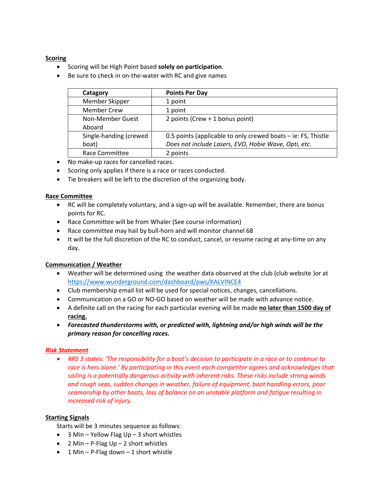## **Scoring**

- Scoring will be High Point based **solely on participation**.
- Be sure to check in on-the-water with RC and give names

| Catagory               | <b>Points Per Day</b>                                           |  |
|------------------------|-----------------------------------------------------------------|--|
| Member Skipper         | 1 point                                                         |  |
| <b>Member Crew</b>     | 1 point                                                         |  |
| Non-Member Guest       | 2 points (Crew $+$ 1 bonus point)                               |  |
| Aboard                 |                                                                 |  |
| Single-handing (crewed | 0.5 points (applicable to only crewed boats $-$ ie: FS, Thistle |  |
| boat)                  | Does not include Lasers, EVO, Hobie Wave, Opti, etc.            |  |
| Race Committee         | 2 points                                                        |  |

- No make-up races for cancelled races.
- Scoring only applies if there is a race or races conducted.
- Tie breakers will be left to the discretion of the organizing body.

#### **Race Committee**

- RC will be completely voluntary, and a sign-up will be available. Remember, there are bonus points for RC.
- Race Committee will be from Whaler (See course information)
- Race committee may hail by bull-horn and will monitor channel 68
- It will be the full discretion of the RC to conduct, cancel, or resume racing at any-time on any day.

#### **Communication / Weather**

- Weather will be determined using the weather data observed at the club (club website )or at https://www.wunderground.com/dashboard/pws/KALVINCE4
- Club membership email list will be used for special notices, changes, cancellations.
- Communication on a GO or NO-GO based on weather will be made with advance notice.
- A definite call on the racing for each particular evening will be made **no later than 1500 day of racing.**
- *Forecasted thunderstorms with, or predicted with, lightning and/or high winds will be the primary reason for cancelling races.*

#### *Risk Statement*

• *RRS 3 states: 'The responsibility for a boat's decision to participate in a race or to continue to race is hers alone.' By participating in this event each competitor agrees and acknowledges that sailing is a potentially dangerous activity with inherent risks. These risks include strong winds and rough seas, sudden changes in weather, failure of equipment, boat handling errors, poor seamanship by other boats, loss of balance on an unstable platform and fatigue resulting in increased risk of injury.* 

#### **Starting Signals**

Starts will be 3 minutes sequence as follows:

- 3 Min Yellow Flag Up 3 short whistles
- 2 Min P-Flag  $Up 2$  short whistles
- 1 Min P-Flag down 1 short whistle